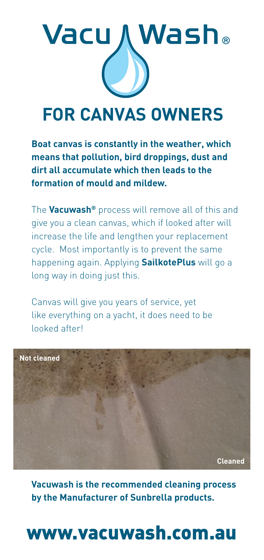

### **FOR CANVAS OWNERS**

**Boat canvas is constantly in the weather, which means that pollution, bird droppings, dust and dirt all accumulate which then leads to the formation of mould and mildew.**

The **Vacuwash®** process will remove all of this and give you a clean canvas, which if looked after will increase the life and lengthen your replacement cycle. Most importantly is to prevent the same happening again. Applying **SailkotePlus** will go a long way in doing just this.

Canvas will give you years of service, yet like everything on a yacht, it does need to be looked after!



**Vacuwash is the recommended cleaning process by the Manufacturer of Sunbrella products.**

## www.vacuwash.com.au